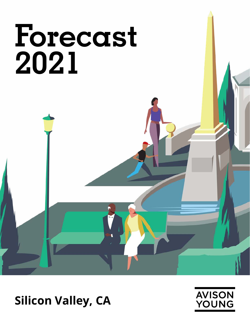# **Forecast 2021**

## **Silicon Valley, CA**

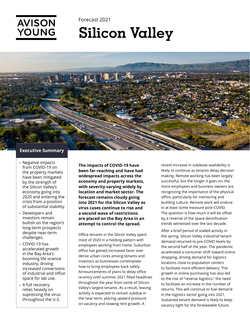

# **Silicon Valley**



**AVISON** 

YOUNG

- Negative impacts from COVID-19 on the property markets have been mitigated by the strength of the Silicon Valley's economy going into 2020 and entering the crisis from a position of substantial stability.
- Developers and investors remain bullish on the region's long-term prospects despite near-term challenges.
- COVID-19 has accelerated growth in the Bay Area's booming life science industry, driving increased conversions of industrial and office space for lab use.
- A full recovery relies heavily on supressing the virus throughout the U.S.

**The impacts of COVID-19 have been far reaching and have had widespread impacts across the economy and property markets, with severity varying widely by location and market sector. The forecast remains cloudy going into 2021 for the Silicon Valley as virus cases continue to rise and a second wave of restrictions are placed on the Bay Area in an attempt to control the spread.**

Office tenants in the Silicon Valley spent most of 2020 in a holding pattern with employees working from home. Suburban office has gained increased favor over dense urban cores among tenants and investors as businesses contemplate how to bring employees back safely. Announcements of plans to delay office re-entry until summer 2021 filled headlines throughout the year from some of Silicon Valley's largest tenants. As a result, leasing activity is expected to remain subdue in the near term, placing upward pressure on vacancy and slowing rent growth. A

recent increase in sublease availability is likely to continue as tenants delay decision making. Remote working has been largely successful, but the longer it goes on, the more employees and business owners are recognizing the importance of the physical office, particularly for mentoring and building culture. Remote work will endure in at least some measure post-COVID. The question is how much it will be offset by a reversal of the space densification trends witnessed over the last decade.

After a brief period of stalled activity in the spring, Silicon Valley industrial tenant demand returned to pre-COVID levels by the second half of the year. The pandemic accelerated a consumer shift toward online shopping, driving demand for logistics locations close to population centers to facilitate more efficient delivery. The growth in online purchasing has also led to the rise of "reverse logistics," the need to facilitate an increase in the number of returns. This will continue to fuel demand in the logistics sector going into 2021. Sustained tenant demand is likely to keep vacancy tight for the foreseeable future.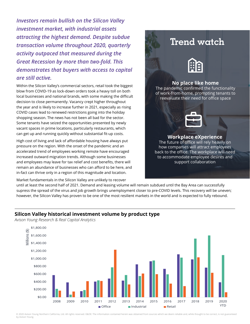*Investors remain bullish on the Silicon Valley investment market, with industrial assets attracting the highest demand. Despite subdue transaction volume throughout 2020, quarterly activity outpaced that measured during the Great Recession by more than two-fold. This demonstrates that buyers with access to capital are still active.* 

Within the Silicon Valley's commercial sectors, retail took the biggest blow from COVID-19 as lock-down orders took a heavy toll on both local businesses and national brands, with some making the difficult decision to close permanently. Vacancy crept higher throughout the year and is likely to increase further in 2021, especially as rising COVID cases lead to renewed restrictions going into the holiday shopping season. The news has not been all bad for the sector. Some tenants have seized the opportunities presented by newly vacant spaces in prime locations, particularly restaurants, which can get up and running quickly without substantial fit-up costs.

High cost of living and lack of affordable housing have always put pressure on the region. With the onset of the pandemic and an accelerated trend of employees working remote have encouraged increased outward migration trends. Although some businesses and employees may leave for tax relief and cost benefits, there will remain an abundance of businesses who can afford to be here, and in-fact can thrive only in a region of this magnitude and location.

Market fundamentals in the Silicon Valley are unlikely to recover

### **Trend watch**



#### **No place like home**

The pandemic confirmed the functionality of work-from-home, prompting tenants to reevaluate their need for office space



#### **Workplace eXperience**

The future of office will rely heavily on how companies will attract employees back to the office. The workplace will need to accommodate employee desires and support collaboration

until at least the second half of 2021. Demand and leasing volume will remain subdued until the Bay Area can successfully supress the spread of the virus and job growth brings unemployment closer to pre-COVID levels. This recovery will be uneven; however, the Silicon Valley has proven to be one of the most resilient markets in the world and is expected to fully rebound.

#### **Silicon Valley historical investment volume by product type**

*Avison Young Research & Real Capital Analytics*



© 2020 Avison Young Northern California, Ltd. All rights reserved. E&OE: The information contained herein was obtained from sources which we deem reliable and, while thought to be correct, is not guaranteed by Avison Young.